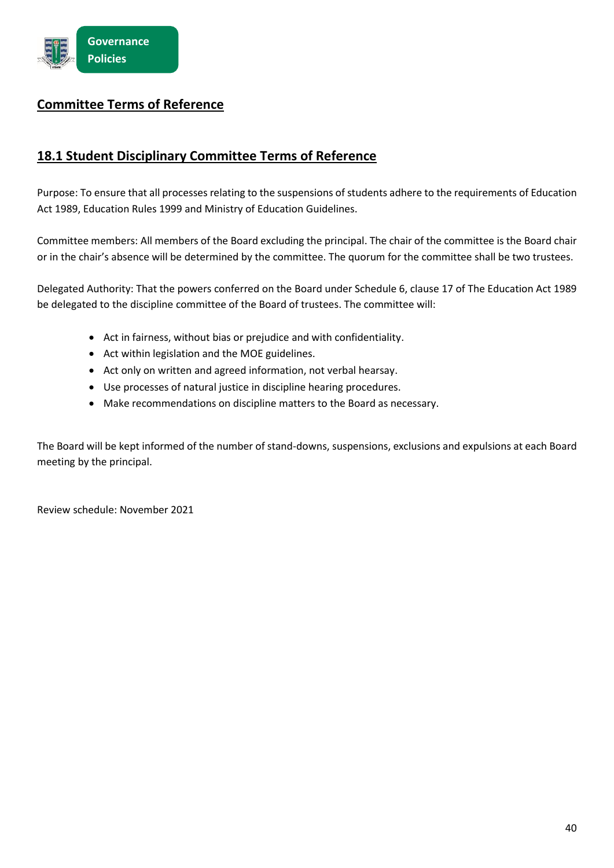## **Committee Terms of Reference**

## **18.1 Student Disciplinary Committee Terms of Reference**

Purpose: To ensure that all processes relating to the suspensions of students adhere to the requirements of Education Act 1989, Education Rules 1999 and Ministry of Education Guidelines.

Committee members: All members of the Board. The chair of the committee is the Board chair or in the chair's absence will be determined by the committee. The quorum for the committee shall be two trustees.

Delegated Authority: That the powers conferred on the Board under Schedule 6, clause 17 of The Education Act 1989 be delegated to the discipline committee of the Board of trustees. The committee will:

- Act in fairness, without bias or prejudice and with confidentiality.
- Act within legislation and the MOE guidelines.
- Act only on written and agreed information, not verbal hearsay.
- Use processes of natural justice in discipline hearing procedures.
- Make recommendations on discipline matters to the Board as necessary.

The Board will be kept informed of the number of stand-downs, suspensions, exclusions and expulsions at each Board meeting by the principal.

Review schedule: November 2024